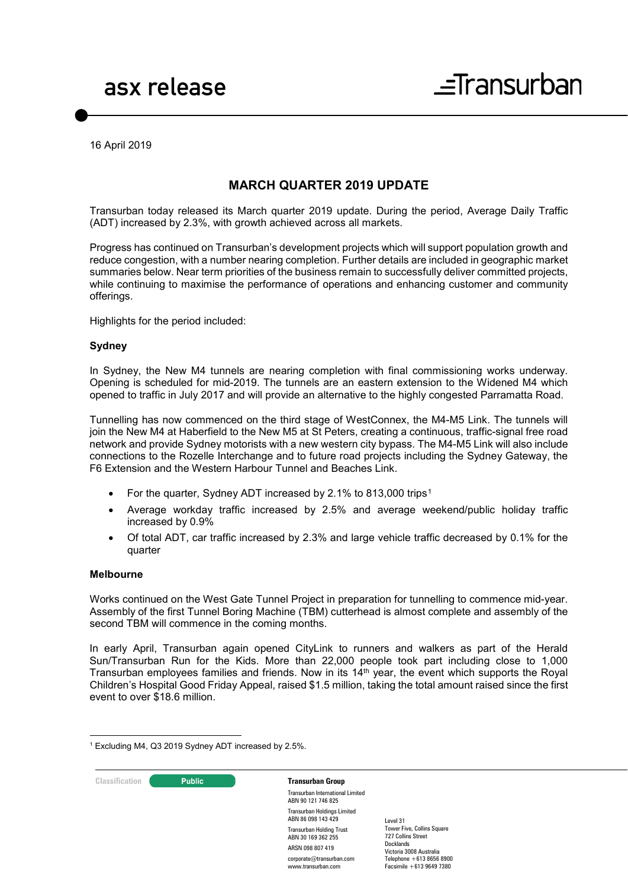16 April 2019

# **MARCH QUARTER 2019 UPDATE**

Transurban today released its March quarter 2019 update. During the period, Average Daily Traffic (ADT) increased by 2.3%, with growth achieved across all markets.

Progress has continued on Transurban's development projects which will support population growth and reduce congestion, with a number nearing completion. Further details are included in geographic market summaries below. Near term priorities of the business remain to successfully deliver committed projects, while continuing to maximise the performance of operations and enhancing customer and community offerings.

Highlights for the period included:

### **Sydney**

In Sydney, the New M4 tunnels are nearing completion with final commissioning works underway. Opening is scheduled for mid-2019. The tunnels are an eastern extension to the Widened M4 which opened to traffic in July 2017 and will provide an alternative to the highly congested Parramatta Road.

Tunnelling has now commenced on the third stage of WestConnex, the M4-M5 Link. The tunnels will join the New M4 at Haberfield to the New M5 at St Peters, creating a continuous, traffic-signal free road network and provide Sydney motorists with a new western city bypass. The M4-M5 Link will also include connections to the Rozelle Interchange and to future road projects including the Sydney Gateway, the F6 Extension and the Western Harbour Tunnel and Beaches Link.

- For the quarter, Sydney ADT increased by 2.[1](#page-0-0)% to 813,000 trips<sup>1</sup>
- Average workday traffic increased by 2.5% and average weekend/public holiday traffic increased by 0.9%
- Of total ADT, car traffic increased by 2.3% and large vehicle traffic decreased by 0.1% for the quarter

#### **Melbourne**

Works continued on the West Gate Tunnel Project in preparation for tunnelling to commence mid-year. Assembly of the first Tunnel Boring Machine (TBM) cutterhead is almost complete and assembly of the second TBM will commence in the coming months.

In early April, Transurban again opened CityLink to runners and walkers as part of the Herald Sun/Transurban Run for the Kids. More than 22,000 people took part including close to 1,000 Transurban employees families and friends. Now in its 14<sup>th</sup> year, the event which supports the Royal Children's Hospital Good Friday Appeal, raised \$1.5 million, taking the total amount raised since the first event to over \$18.6 million.

<span id="page-0-0"></span><sup>-</sup><sup>1</sup> Excluding M4, Q3 2019 Sydney ADT increased by 2.5%.



Transurban International Limited ABN 90 121 746 825 Transurban Holdings Limited ABN 86 098 143 429 Transurban Holding Trust ABN 30 169 362 255 ARSN 098 807 419 corporate@transurban.com www.transurban.com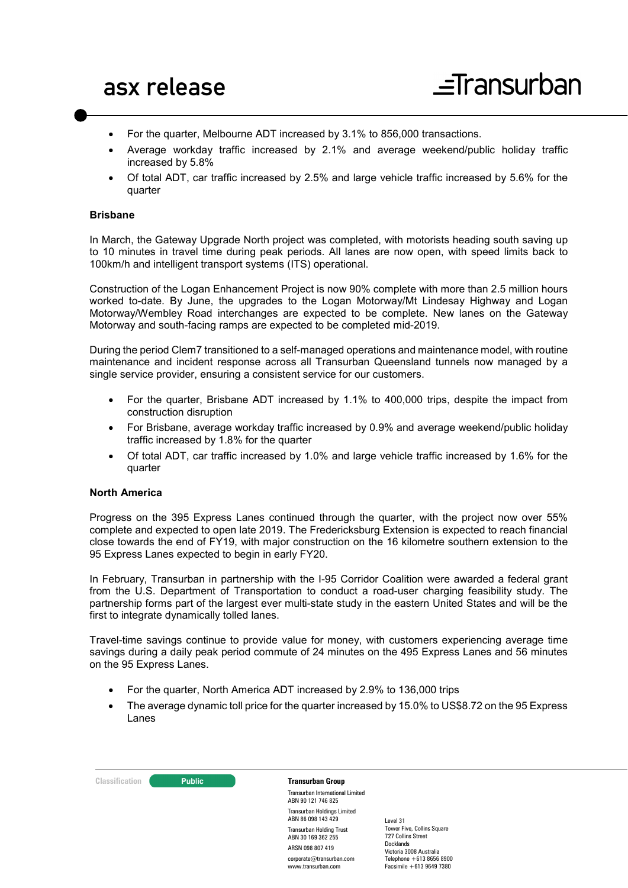- For the quarter, Melbourne ADT increased by 3.1% to 856,000 transactions.
- Average workday traffic increased by 2.1% and average weekend/public holiday traffic increased by 5.8%
- Of total ADT, car traffic increased by 2.5% and large vehicle traffic increased by 5.6% for the quarter

### **Brisbane**

In March, the Gateway Upgrade North project was completed, with motorists heading south saving up to 10 minutes in travel time during peak periods. All lanes are now open, with speed limits back to 100km/h and intelligent transport systems (ITS) operational.

Construction of the Logan Enhancement Project is now 90% complete with more than 2.5 million hours worked to-date. By June, the upgrades to the Logan Motorway/Mt Lindesay Highway and Logan Motorway/Wembley Road interchanges are expected to be complete. New lanes on the Gateway Motorway and south-facing ramps are expected to be completed mid-2019.

During the period Clem7 transitioned to a self-managed operations and maintenance model, with routine maintenance and incident response across all Transurban Queensland tunnels now managed by a single service provider, ensuring a consistent service for our customers.

- For the quarter, Brisbane ADT increased by 1.1% to 400,000 trips, despite the impact from construction disruption
- For Brisbane, average workday traffic increased by 0.9% and average weekend/public holiday traffic increased by 1.8% for the quarter
- Of total ADT, car traffic increased by 1.0% and large vehicle traffic increased by 1.6% for the quarter

### **North America**

Progress on the 395 Express Lanes continued through the quarter, with the project now over 55% complete and expected to open late 2019. The Fredericksburg Extension is expected to reach financial close towards the end of FY19, with major construction on the 16 kilometre southern extension to the 95 Express Lanes expected to begin in early FY20.

In February, Transurban in partnership with the I-95 Corridor Coalition were awarded a federal grant from the U.S. Department of Transportation to conduct a road-user charging feasibility study. The partnership forms part of the largest ever multi-state study in the eastern United States and will be the first to integrate dynamically tolled lanes.

Travel-time savings continue to provide value for money, with customers experiencing average time savings during a daily peak period commute of 24 minutes on the 495 Express Lanes and 56 minutes on the 95 Express Lanes.

- For the quarter, North America ADT increased by 2.9% to 136,000 trips
- The average dynamic toll price for the quarter increased by 15.0% to US\$8.72 on the 95 Express Lanes

| Classification | <b>Public</b> |
|----------------|---------------|
|                |               |

**Classification Transurban Group** Transurban International Limited ABN 90 121 746 825 Transurban Holdings Limited ABN 86 098 143 429 Transurban Holding Trust ABN 30 169 362 255 ARSN 098 807 419 corporate@transurban.com www.transurban.com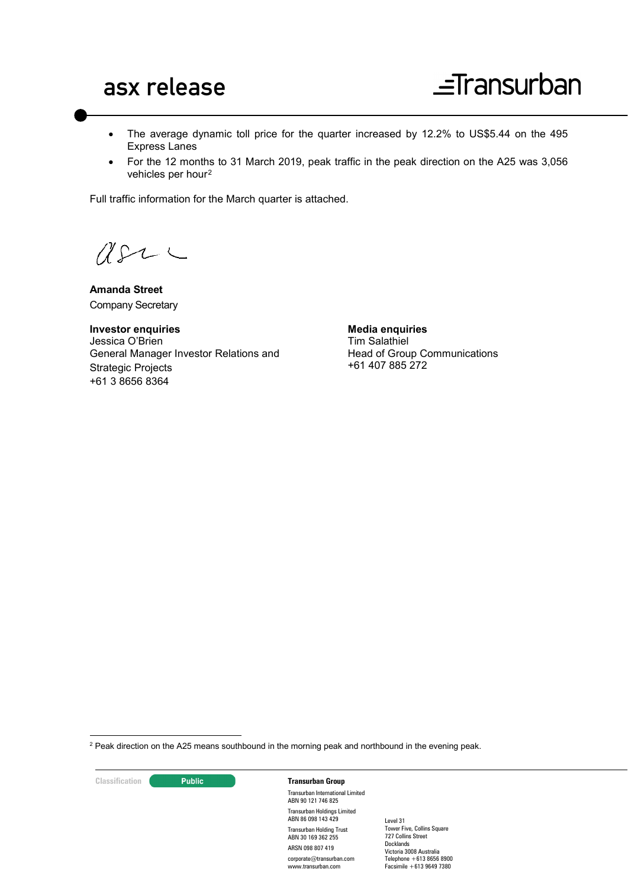- The average dynamic toll price for the quarter increased by 12.2% to US\$5.44 on the 495 Express Lanes
- For the 12 months to 31 March 2019, peak traffic in the peak direction on the A25 was 3,056 vehicles per hour<sup>[2](#page-2-0)</sup>

Full traffic information for the March quarter is attached.

 $2222$ 

**Amanda Street** Company Secretary

**Investor enquiries** Jessica O'Brien General Manager Investor Relations and Strategic Projects +61 3 8656 8364

**Media enquiries** Tim Salathiel Head of Group Communications +61 407 885 272

<span id="page-2-0"></span> $^{\rm 2}$  Peak direction on the A25 means southbound in the morning peak and northbound in the evening peak.

**Classification Public Transurban Group** 

-

Transurban International Limited ABN 90 121 746 825 Transurban Holdings Limited ABN 86 098 143 429 Transurban Holding Trust ABN 30 169 362 255 ARSN 098 807 419 corporate@transurban.com www.transurban.com